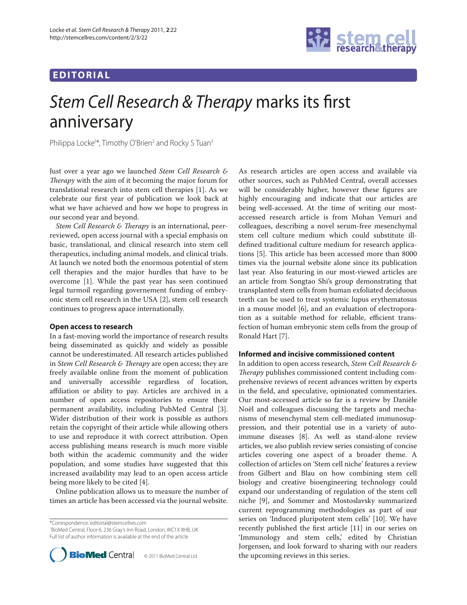# **EDITORIAL**



# Stem Cell Research & Therapy marks its first anniversary

Philippa Locke<sup>1\*</sup>, Timothy O'Brien<sup>2</sup> and Rocky S Tuan<sup>3</sup>

Just over a year ago we launched *Stem Cell Research & Therapy* with the aim of it becoming the major forum for translational research into stem cell therapies [1]. As we celebrate our first year of publication we look back at what we have achieved and how we hope to progress in our second year and beyond.

*Stem Cell Research & Therapy* is an international, peerreviewed, open access journal with a special emphasis on basic, translational, and clinical research into stem cell therapeutics, including animal models, and clinical trials. At launch we noted both the enormous potential of stem cell therapies and the major hurdles that have to be overcome [1]. While the past year has seen continued legal turmoil regarding governement funding of embryonic stem cell research in the USA [2], stem cell research continues to progress apace internationally.

### **Open access to research**

In a fast-moving world the importance of research results being disseminated as quickly and widely as possible cannot be underestimated. All research articles published in *Stem Cell Research & Therapy* are open access; they are freely available online from the moment of publication and universally accessible regardless of location, affiliation or ability to pay. Articles are archived in a number of open access repositories to ensure their permanent availability, including PubMed Central [3]. Wider distribution of their work is possible as authors retain the copyright of their article while allowing others to use and reproduce it with correct attribution. Open access publishing means research is much more visible both within the academic community and the wider population, and some studies have suggested that this increased availability may lead to an open access article being more likely to be cited [4].

Online publication allows us to measure the number of times an article has been accessed via the journal website.

\*Correspondence: editorial@stemcellres.com

1 BioMed Central, Floor 6, 236 Gray's Inn Road, London, WC1X 8HB, UK Full list of author information is available at the end of the article



As research articles are open access and available via other sources, such as PubMed Central, overall accesses will be considerably higher, however these figures are highly encouraging and indicate that our articles are being well-accessed. At the time of writing our mostaccessed research article is from Mohan Vemuri and colleagues, describing a novel serum-free mesenchymal stem cell culture medium which could substitute illdefined traditional culture medium for research applications [5]. This article has been accessed more than 8000 times via the journal website alone since its publication last year. Also featuring in our most-viewed articles are an article from Songtao Shi's group demonstrating that transplanted stem cells from human exfoliated deciduous teeth can be used to treat systemic lupus erythematosus in a mouse model [6], and an evaluation of electroporation as a suitable method for reliable, efficient transfection of human embryonic stem cells from the group of Ronald Hart [7].

# **Informed and incisive commissioned content**

In addition to open access research, *Stem Cell Research & Therapy* publishes commissioned content including comprehensive reviews of recent advances written by experts in the field, and speculative, opinionated commentaries. Our most-accessed article so far is a review by Danièle Noël and colleagues discussing the targets and mechanisms of mesenchymal stem cell-mediated immunosuppression, and their potential use in a variety of autoimmune diseases [8]. As well as stand-alone review articles, we also publish review series consisting of concise articles covering one aspect of a broader theme. A collection of articles on 'Stem cell niche' features a review from Gilbert and Blau on how combining stem cell biology and creative bioengineering technology could expand our understanding of regulation of the stem cell niche [9], and Sommer and Mostoslavsky summarized current reprogramming methodologies as part of our series on 'Induced pluripotent stem cells' [10]. We have recently published the first article [11] in our series on 'Immunology and stem cells,' edited by Christian Jorgensen, and look forward to sharing with our readers